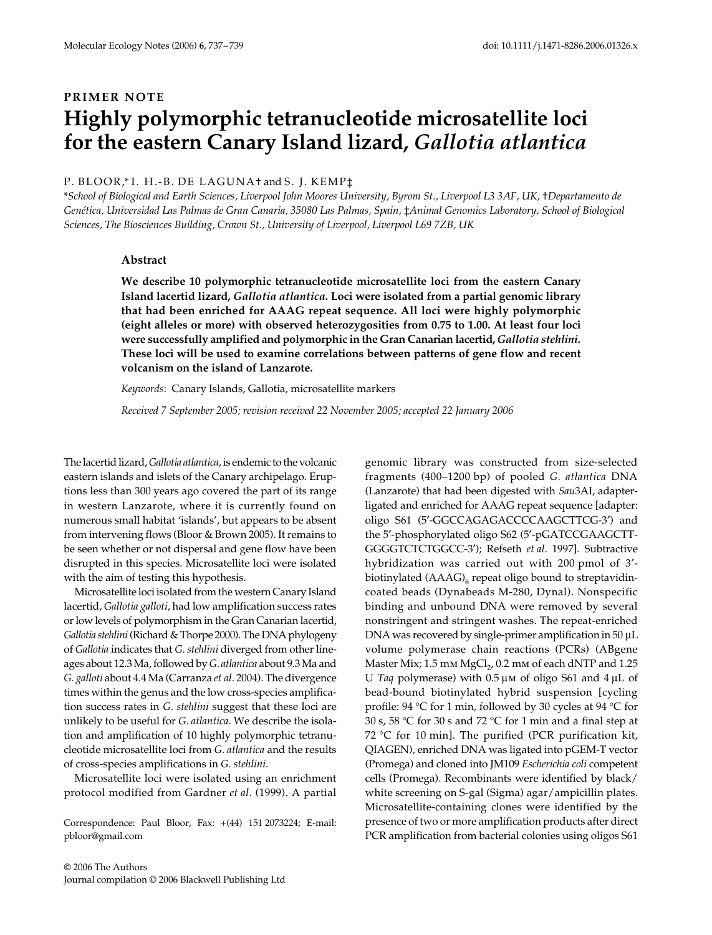# **PRIMER NOTE Highly polymorphic tetranucleotide microsatellite loci for the eastern Canary Island lizard,** *Gallotia atlantica*

## P. BLOOR,\* I. H.-B. DE LAGUNA† and S. J. KEMP‡

\**School of Biological and Earth Sciences, Liverpool John Moores University, Byrom St., Liverpool L3 3AF, UK,* †*Departamento de*  Genética, Universidad Las Palmas de Gran Canaria, 35080 Las Palmas, Spain, ‡Animal Genomics Laboratory, School of Biological *Sciences, The Biosciences Building, Crown St., University of Liverpool, Liverpool L69 7ZB, UK* 

## **Abstract**

**We describe 10 polymorphic tetranucleotide microsatellite loci from the eastern Canary Island lacertid lizard,** *Gallotia atlantica***. Loci were isolated from a partial genomic library that had been enriched for AAAG repeat sequence. All loci were highly polymorphic (eight alleles or more) with observed heterozygosities from 0.75 to 1.00. At least four loci were successfully amplified and polymorphic in the Gran Canarian lacertid,** *Gallotia stehlini***. These loci will be used to examine correlations between patterns of gene flow and recent volcanism on the island of Lanzarote.**

*Keywords*: Canary Islands, Gallotia, microsatellite markers

*Received 7 September 2005; revision received 22 November 2005; accepted 22 January 2006*

The lacertid lizard, *Gallotia atlantica*, is endemic to the volcanic eastern islands and islets of the Canary archipelago. Eruptions less than 300 years ago covered the part of its range in western Lanzarote, where it is currently found on numerous small habitat 'islands', but appears to be absent from intervening flows (Bloor & Brown 2005). It remains to be seen whether or not dispersal and gene flow have been disrupted in this species. Microsatellite loci were isolated with the aim of testing this hypothesis.

Microsatellite loci isolated from the western Canary Island lacertid, *Gallotia galloti*, had low amplification success rates or low levels of polymorphism in the Gran Canarian lacertid, *Gallotia stehlini*(Richard & Thorpe 2000). The DNA phylogeny of *Gallotia* indicates that *G. stehlini* diverged from other lineages about 12.3 Ma, followed by *G. atlantica* about 9.3 Ma and *G. galloti* about 4.4 Ma (Carranza *et al*. 2004). The divergence times within the genus and the low cross-species amplification success rates in *G. stehlini* suggest that these loci are unlikely to be useful for *G. atlantica*. We describe the isolation and amplification of 10 highly polymorphic tetranucleotide microsatellite loci from *G. atlantica* and the results of cross-species amplifications in *G. stehlini*.

Microsatellite loci were isolated using an enrichment protocol modified from Gardner *et al*. (1999). A partial

Correspondence: Paul Bloor, Fax: +(44) 151 2073224; E-mail: pbloor@gmail.com

© 2006 The Authors Journal compilation © 2006 Blackwell Publishing Ltd genomic library was constructed from size-selected fragments (400–1200 bp) of pooled *G. atlantica* DNA (Lanzarote) that had been digested with *Sau*3AI, adapterligated and enriched for AAAG repeat sequence [adapter: oligo S61 (5′-GGCCAGAGACCCCAAGCTTCG-3′) and the 5′-phosphorylated oligo S62 (5′-pGATCCGAAGCTT-GGGGTCTCTGGCC-3′); Refseth *et al*. 1997]. Subtractive hybridization was carried out with 200 pmol of 3′ biotinylated  $(AAAG)_{6}$  repeat oligo bound to streptavidincoated beads (Dynabeads M-280, Dynal). Nonspecific binding and unbound DNA were removed by several nonstringent and stringent washes. The repeat-enriched DNA was recovered by single-primer amplification in 50 µL volume polymerase chain reactions (PCRs) (ABgene Master Mix;  $1.5$  mm MgCl<sub>2</sub>,  $0.2$  mm of each dNTP and  $1.25$ U *Taq* polymerase) with 0.5 µm of oligo S61 and 4 µL of bead-bound biotinylated hybrid suspension [cycling profile: 94 °C for 1 min, followed by 30 cycles at 94 °C for 30 s, 58 °C for 30 s and 72 °C for 1 min and a final step at 72 °C for 10 min]. The purified (PCR purification kit, QIAGEN), enriched DNA was ligated into pGEM-T vector (Promega) and cloned into JM109 *Escherichia coli* competent cells (Promega). Recombinants were identified by black/ white screening on S-gal (Sigma) agar/ampicillin plates. Microsatellite-containing clones were identified by the presence of two or more amplification products after direct PCR amplification from bacterial colonies using oligos S61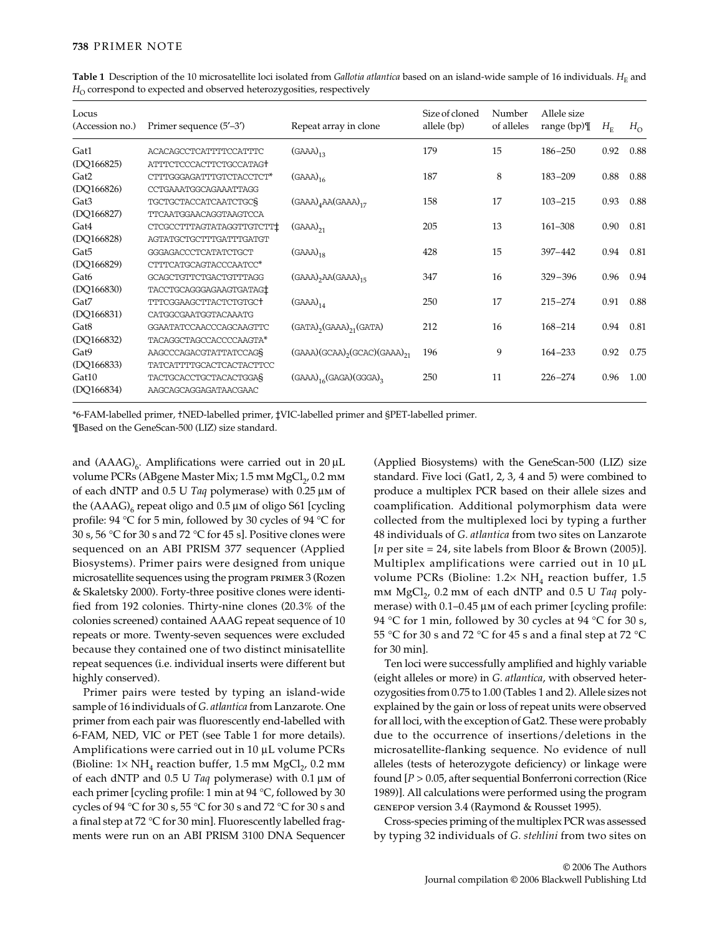| Locus<br>(Accession no.) | Primer sequence (5'-3')             | Repeat array in clone                                    | Size of cloned<br>allele (bp) | Number<br>of alleles | Allele size<br>range $(bp)$ | $H_{\scriptscriptstyle\rm E}$ | $H_{\Omega}$ |
|--------------------------|-------------------------------------|----------------------------------------------------------|-------------------------------|----------------------|-----------------------------|-------------------------------|--------------|
| Gat1                     | <b>ACACAGCCTCATTTTCCATTTC</b>       | $(GAAA)_{12}$                                            | 179                           | 15                   | $186 - 250$                 | 0.92                          | 0.88         |
| (DQ166825)               | ATTTCTCCCACTTCTGCCATAGT             |                                                          |                               |                      |                             |                               |              |
| Gat2                     | CTTTGGGAGATTTGTCTACCTCT*            | $(GAAA)_{16}$                                            | 187                           | 8                    | $183 - 209$                 | 0.88                          | 0.88         |
| (DQ166826)               | CCTGAAATGGCAGAAATTAGG               |                                                          |                               |                      |                             |                               |              |
| Gat <sub>3</sub>         | TGCTGCTACCATCAATCTGCS               | $(GAAA)4AA(GAAA)17$                                      | 158                           | 17                   | $103 - 215$                 | 0.93                          | 0.88         |
| (DQ166827)               | <b>TTCAATGGAACAGGTAAGTCCA</b>       |                                                          |                               |                      |                             |                               |              |
| Gat4                     | CTCGCCTTTAGTATAGGTTGTCTT            | $(GAAA)_{21}$                                            | 205                           | 13                   | $161 - 308$                 | 0.90                          | 0.81         |
| (DQ166828)               | AGTATGCTGCTTTGATTTGATGT             |                                                          |                               |                      |                             |                               |              |
| Gat <sub>5</sub>         | GGGAGACCCTCATATCTGCT                | $(GAAA)_{18}$                                            | 428                           | 15                   | $397 - 442$                 | 0.94                          | 0.81         |
| (DQ166829)               | CTTTCATGCAGTACCCAATCC*              |                                                          |                               |                      |                             |                               |              |
| Gat <sub>6</sub>         | GCAGCTGTTCTGACTGTTTAGG              | $(GAAA)$ <sub>2</sub> $AA(GAAA)$ <sub>15</sub>           | 347                           | 16                   | $329 - 396$                 | 0.96                          | 0.94         |
| (DQ166830)               | TACCTGCAGGGAGAAGTGATAG <sup>+</sup> |                                                          |                               |                      |                             |                               |              |
| Gat7                     | TTTCGGAAGCTTACTCTGTGC+              | $(GAAA)_{14}$                                            | 250                           | 17                   | $215 - 274$                 | 0.91                          | 0.88         |
| (DQ166831)               | CATGGCGAATGGTACAAATG                |                                                          |                               |                      |                             |                               |              |
| Gat <sub>8</sub>         | GGAATATCCAACCCAGCAAGTTC             | $(GATA)$ <sub>2</sub> $(GAAA)$ <sub>21</sub> $(GATA)$    | 212                           | 16                   | 168-214                     | 0.94                          | 0.81         |
| (DQ166832)               | TACAGGCTAGCCACCCCAAGTA*             |                                                          |                               |                      |                             |                               |              |
| Gat9                     | AAGCCCAGACGTATTATCCAGS              | $(GAAA)(GCAA)$ <sub>2</sub> $(GCAC)(GAAA)$ <sub>21</sub> | 196                           | 9                    | $164 - 233$                 | 0.92                          | 0.75         |
| (DQ166833)               | TATCATTTTGCACTCACTACTTCC            |                                                          |                               |                      |                             |                               |              |
| Gat10                    | TACTGCACCTGCTACACTGGAS              | $(GAAA)_{16}(GAGA)(GGGA)_{3}$                            | 250                           | 11                   | $226 - 274$                 | 0.96                          | 1.00         |
| (DQ166834)               | AAGCAGCAGGAGATAACGAAC               |                                                          |                               |                      |                             |                               |              |
|                          |                                     |                                                          |                               |                      |                             |                               |              |

Table 1 Description of the 10 microsatellite loci isolated from *Gallotia atlantica* based on an island-wide sample of 16 individuals.  $H<sub>E</sub>$  and  $H<sub>O</sub>$  correspond to expected and observed heterozygosities, respectively

\*6-FAM-labelled primer, †NED-labelled primer, ‡VIC-labelled primer and §PET-labelled primer. ¶Based on the GeneScan-500 (LIZ) size standard.

and  $(AAAG)_{6}$ . Amplifications were carried out in 20 µL volume PCRs (ABgene Master Mix;  $1.5$  mm MgCl<sub>2</sub>,  $0.2$  mm of each dNTP and 0.5 U *Taq* polymerase) with 0.25 µm of the  $(AAAG)_{6}$  repeat oligo and 0.5  $\mu$ m of oligo S61 [cycling profile: 94 °C for 5 min, followed by 30 cycles of 94 °C for  $30$  s,  $56\ {\rm ^oC}$  for  $30$  s and  $72\ {\rm ^oC}$  for  $45$  s]. Positive clones were sequenced on an ABI PRISM 377 sequencer (Applied Biosystems). Primer pairs were designed from unique microsatellite sequences using the program primer 3 (Rozen & Skaletsky 2000). Forty-three positive clones were identified from 192 colonies. Thirty-nine clones (20.3% of the colonies screened) contained AAAG repeat sequence of 10 repeats or more. Twenty-seven sequences were excluded because they contained one of two distinct minisatellite repeat sequences (i.e. individual inserts were different but highly conserved).

Primer pairs were tested by typing an island-wide sample of 16 individuals of *G. atlantica* from Lanzarote. One primer from each pair was fluorescently end-labelled with 6-FAM, NED, VIC or PET (see Table 1 for more details). Amplifications were carried out in 10 µL volume PCRs (Bioline:  $1 \times NH_A$  reaction buffer,  $1.5$  mm MgCl<sub>2</sub>,  $0.2$  mm of each dNTP and 0.5 U *Taq* polymerase) with 0.1 µm of each primer [cycling profile: 1 min at 94 °C, followed by 30 cycles of 94 °C for 30 s, 55 °C for 30 s and 72 °C for 30 s and a final step at 72 °C for 30 min]. Fluorescently labelled fragments were run on an ABI PRISM 3100 DNA Sequencer

(Applied Biosystems) with the GeneScan-500 (LIZ) size standard. Five loci (Gat1, 2, 3, 4 and 5) were combined to produce a multiplex PCR based on their allele sizes and coamplification. Additional polymorphism data were collected from the multiplexed loci by typing a further 48 individuals of *G. atlantica* from two sites on Lanzarote [*n* per site = 24, site labels from Bloor & Brown (2005)]. Multiplex amplifications were carried out in 10  $\mu$ L volume PCRs (Bioline:  $1.2 \times NH_4$  reaction buffer, 1.5 mm MgCl<sub>2</sub>, 0.2 mm of each dNTP and 0.5 U Taq polymerase) with 0.1–0.45 µm of each primer [cycling profile: 94 °C for 1 min, followed by 30 cycles at 94 °C for 30 s, 55 °C for 30 s and 72 °C for 45 s and a final step at 72 °C for 30 min].

Ten loci were successfully amplified and highly variable (eight alleles or more) in *G. atlantica*, with observed heterozygosities from 0.75 to 1.00 (Tables 1 and 2). Allele sizes not explained by the gain or loss of repeat units were observed for all loci, with the exception of Gat2. These were probably due to the occurrence of insertions/deletions in the microsatellite-flanking sequence. No evidence of null alleles (tests of heterozygote deficiency) or linkage were found [*P* > 0.05, after sequential Bonferroni correction (Rice 1989)]. All calculations were performed using the program genepop version 3.4 (Raymond & Rousset 1995).

Cross-species priming of the multiplex PCR was assessed by typing 32 individuals of *G. stehlini* from two sites on